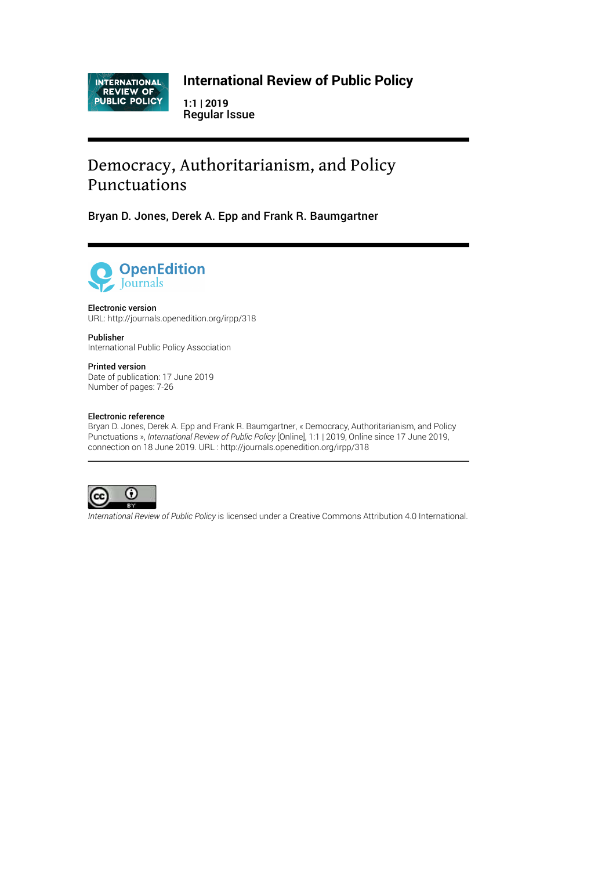INTERNATIONAL<br>REVIEW OF<br>PUBLIC POLICY

### **International Review of Public Policy**

**1:1 | 2019** Regular Issue

# Democracy, Authoritarianism, and Policy Punctuations

Bryan D. Jones, Derek A. Epp and Frank R. Baumgartner



#### Electronic version

URL:<http://journals.openedition.org/irpp/318>

Publisher International Public Policy Association

#### Printed version

Date of publication: 17 June 2019 Number of pages: 7-26

#### Electronic reference

Bryan D. Jones, Derek A. Epp and Frank R. Baumgartner, « Democracy, Authoritarianism, and Policy Punctuations », *International Review of Public Policy* [Online], 1:1 | 2019, Online since 17 June 2019, connection on 18 June 2019. URL : http://journals.openedition.org/irpp/318



*International Review of Public Policy* is licensed under a [Creative Commons Attribution 4.0 International.](https://creativecommons.org/licenses/by/4.0/)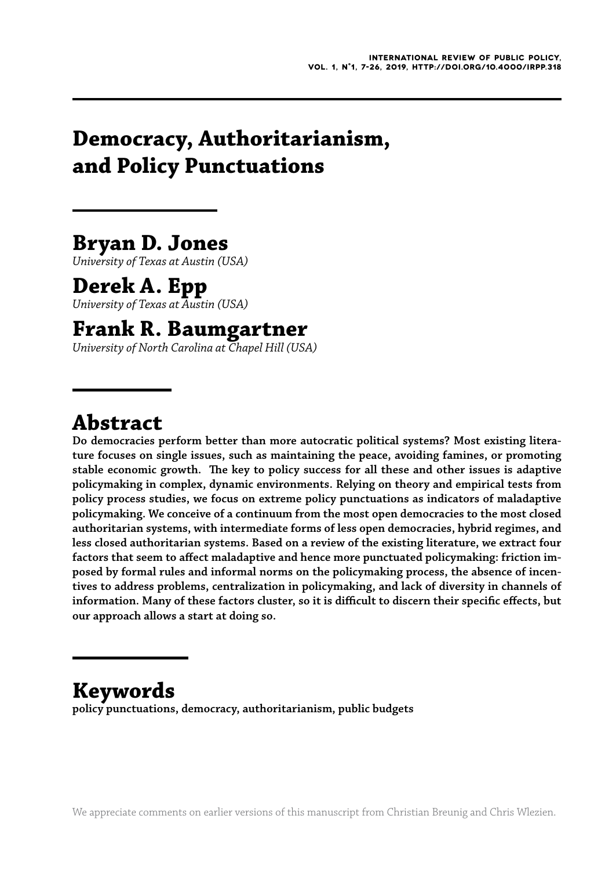# **Democracy, Authoritarianism, and Policy Punctuations**

# **Bryan D. Jones**

*University of Texas at Austin (USA)*

## **Derek A. Epp**

*University of Texas at Austin (USA)*

## **Frank R. Baumgartner**

*University of North Carolina at Chapel Hill (USA)*

# **Abstract**

**Do democracies perform better than more autocratic political systems? Most existing literature focuses on single issues, such as maintaining the peace, avoiding famines, or promoting stable economic growth. he key to policy success for all these and other issues is adaptive policymaking in complex, dynamic environments. Relying on theory and empirical tests from policy process studies, we focus on extreme policy punctuations as indicators of maladaptive policymaking. We conceive of a continuum from the most open democracies to the most closed authoritarian systems, with intermediate forms of less open democracies, hybrid regimes, and less closed authoritarian systems. Based on a review of the existing literature, we extract four factors that seem to afect maladaptive and hence more punctuated policymaking: friction imposed by formal rules and informal norms on the policymaking process, the absence of incentives to address problems, centralization in policymaking, and lack of diversity in channels of**  information. Many of these factors cluster, so it is difficult to discern their specific effects, but **our approach allows a start at doing so.**

# **Keywords**

**policy punctuations, democracy, authoritarianism, public budgets**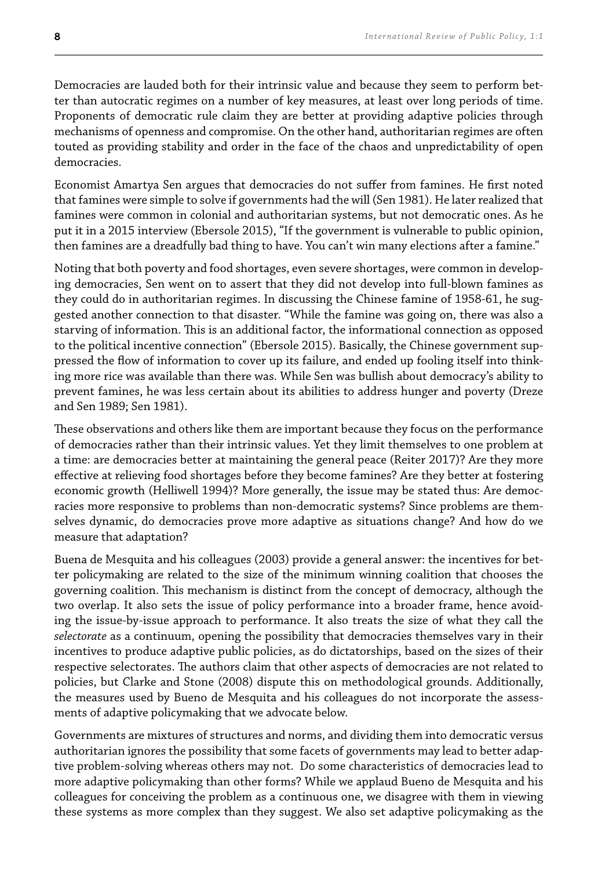Democracies are lauded both for their intrinsic value and because they seem to perform better than autocratic regimes on a number of key measures, at least over long periods of time. Proponents of democratic rule claim they are better at providing adaptive policies through mechanisms of openness and compromise. On the other hand, authoritarian regimes are often touted as providing stability and order in the face of the chaos and unpredictability of open democracies.

Economist Amartya Sen argues that democracies do not suffer from famines. He first noted that famines were simple to solve if governments had the will (Sen 1981). He later realized that famines were common in colonial and authoritarian systems, but not democratic ones. As he put it in a 2015 interview (Ebersole 2015), "If the government is vulnerable to public opinion, then famines are a dreadfully bad thing to have. You can't win many elections after a famine."

Noting that both poverty and food shortages, even severe shortages, were common in developing democracies, Sen went on to assert that they did not develop into full-blown famines as they could do in authoritarian regimes. In discussing the Chinese famine of 1958-61, he suggested another connection to that disaster. "While the famine was going on, there was also a starving of information. This is an additional factor, the informational connection as opposed to the political incentive connection" (Ebersole 2015). Basically, the Chinese government suppressed the low of information to cover up its failure, and ended up fooling itself into thinking more rice was available than there was. While Sen was bullish about democracy's ability to prevent famines, he was less certain about its abilities to address hunger and poverty (Dreze and Sen 1989; Sen 1981).

hese observations and others like them are important because they focus on the performance of democracies rather than their intrinsic values. Yet they limit themselves to one problem at a time: are democracies better at maintaining the general peace (Reiter 2017)? Are they more efective at relieving food shortages before they become famines? Are they better at fostering economic growth (Helliwell 1994)? More generally, the issue may be stated thus: Are democracies more responsive to problems than non-democratic systems? Since problems are themselves dynamic, do democracies prove more adaptive as situations change? And how do we measure that adaptation?

Buena de Mesquita and his colleagues (2003) provide a general answer: the incentives for better policymaking are related to the size of the minimum winning coalition that chooses the governing coalition. his mechanism is distinct from the concept of democracy, although the two overlap. It also sets the issue of policy performance into a broader frame, hence avoiding the issue-by-issue approach to performance. It also treats the size of what they call the *selectorate* as a continuum, opening the possibility that democracies themselves vary in their incentives to produce adaptive public policies, as do dictatorships, based on the sizes of their respective selectorates. he authors claim that other aspects of democracies are not related to policies, but Clarke and Stone (2008) dispute this on methodological grounds. Additionally, the measures used by Bueno de Mesquita and his colleagues do not incorporate the assessments of adaptive policymaking that we advocate below.

Governments are mixtures of structures and norms, and dividing them into democratic versus authoritarian ignores the possibility that some facets of governments may lead to better adaptive problem-solving whereas others may not. Do some characteristics of democracies lead to more adaptive policymaking than other forms? While we applaud Bueno de Mesquita and his colleagues for conceiving the problem as a continuous one, we disagree with them in viewing these systems as more complex than they suggest. We also set adaptive policymaking as the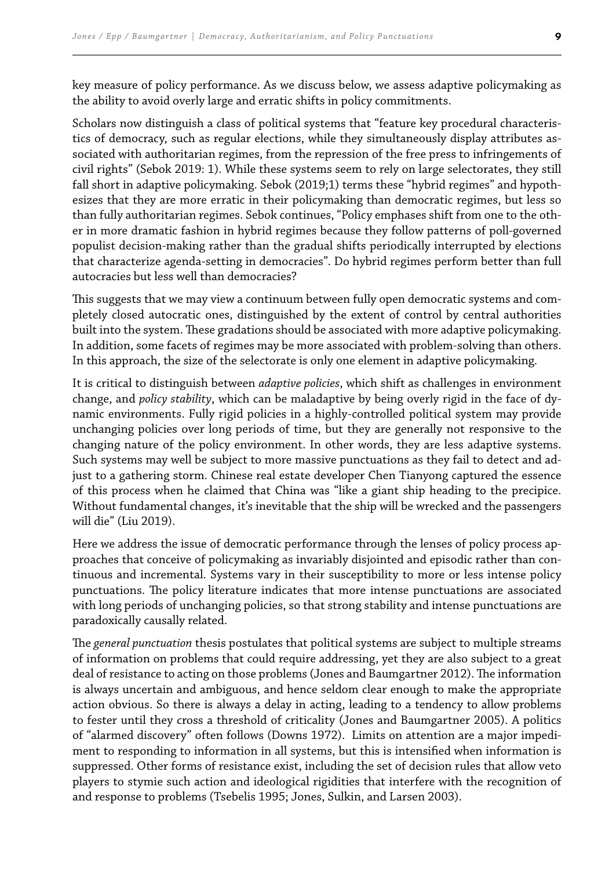key measure of policy performance. As we discuss below, we assess adaptive policymaking as the ability to avoid overly large and erratic shifts in policy commitments.

Scholars now distinguish a class of political systems that "feature key procedural characteristics of democracy, such as regular elections, while they simultaneously display attributes associated with authoritarian regimes, from the repression of the free press to infringements of civil rights" (Sebok 2019: 1). While these systems seem to rely on large selectorates, they still fall short in adaptive policymaking. Sebok (2019;1) terms these "hybrid regimes" and hypothesizes that they are more erratic in their policymaking than democratic regimes, but less so than fully authoritarian regimes. Sebok continues, "Policy emphases shift from one to the other in more dramatic fashion in hybrid regimes because they follow patterns of poll-governed populist decision-making rather than the gradual shifts periodically interrupted by elections that characterize agenda-setting in democracies". Do hybrid regimes perform better than full autocracies but less well than democracies?

his suggests that we may view a continuum between fully open democratic systems and completely closed autocratic ones, distinguished by the extent of control by central authorities built into the system. These gradations should be associated with more adaptive policymaking. In addition, some facets of regimes may be more associated with problem-solving than others. In this approach, the size of the selectorate is only one element in adaptive policymaking.

It is critical to distinguish between *adaptive policies*, which shift as challenges in environment change, and *policy stability*, which can be maladaptive by being overly rigid in the face of dynamic environments. Fully rigid policies in a highly-controlled political system may provide unchanging policies over long periods of time, but they are generally not responsive to the changing nature of the policy environment. In other words, they are less adaptive systems. Such systems may well be subject to more massive punctuations as they fail to detect and adjust to a gathering storm. Chinese real estate developer Chen Tianyong captured the essence of this process when he claimed that China was "like a giant ship heading to the precipice. Without fundamental changes, it's inevitable that the ship will be wrecked and the passengers will die" (Liu 2019).

Here we address the issue of democratic performance through the lenses of policy process approaches that conceive of policymaking as invariably disjointed and episodic rather than continuous and incremental. Systems vary in their susceptibility to more or less intense policy punctuations. he policy literature indicates that more intense punctuations are associated with long periods of unchanging policies, so that strong stability and intense punctuations are paradoxically causally related.

he *general punctuation* thesis postulates that political systems are subject to multiple streams of information on problems that could require addressing, yet they are also subject to a great deal of resistance to acting on those problems (Jones and Baumgartner 2012). The information is always uncertain and ambiguous, and hence seldom clear enough to make the appropriate action obvious. So there is always a delay in acting, leading to a tendency to allow problems to fester until they cross a threshold of criticality (Jones and Baumgartner 2005). A politics of "alarmed discovery" often follows (Downs 1972). Limits on attention are a major impediment to responding to information in all systems, but this is intensified when information is suppressed. Other forms of resistance exist, including the set of decision rules that allow veto players to stymie such action and ideological rigidities that interfere with the recognition of and response to problems (Tsebelis 1995; Jones, Sulkin, and Larsen 2003).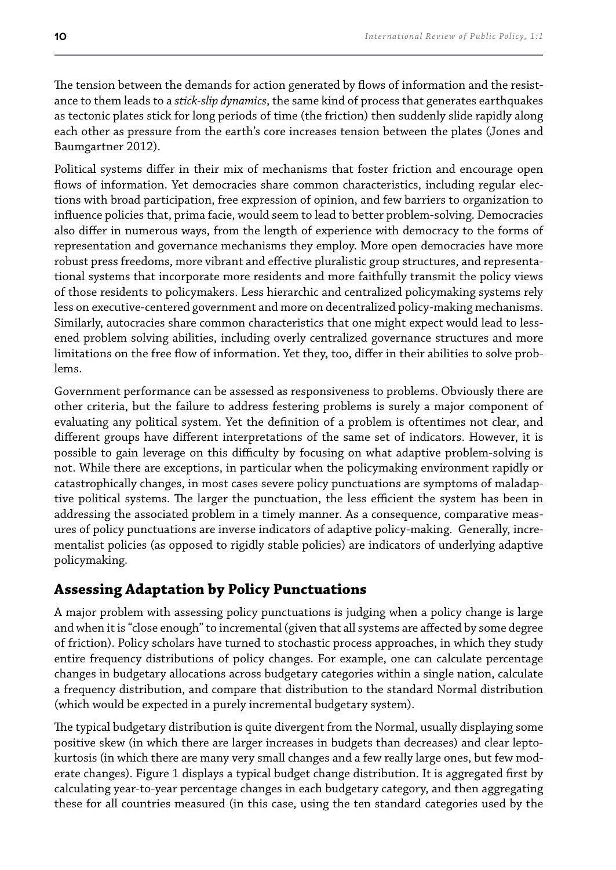The tension between the demands for action generated by flows of information and the resistance to them leads to a *stick-slip dynamics*, the same kind of process that generates earthquakes as tectonic plates stick for long periods of time (the friction) then suddenly slide rapidly along each other as pressure from the earth's core increases tension between the plates (Jones and Baumgartner 2012).

Political systems difer in their mix of mechanisms that foster friction and encourage open flows of information. Yet democracies share common characteristics, including regular elections with broad participation, free expression of opinion, and few barriers to organization to inluence policies that, prima facie, would seem to lead to better problem-solving. Democracies also difer in numerous ways, from the length of experience with democracy to the forms of representation and governance mechanisms they employ. More open democracies have more robust press freedoms, more vibrant and efective pluralistic group structures, and representational systems that incorporate more residents and more faithfully transmit the policy views of those residents to policymakers. Less hierarchic and centralized policymaking systems rely less on executive-centered government and more on decentralized policy-making mechanisms. Similarly, autocracies share common characteristics that one might expect would lead to lessened problem solving abilities, including overly centralized governance structures and more limitations on the free flow of information. Yet they, too, differ in their abilities to solve problems.

Government performance can be assessed as responsiveness to problems. Obviously there are other criteria, but the failure to address festering problems is surely a major component of evaluating any political system. Yet the deinition of a problem is oftentimes not clear, and diferent groups have diferent interpretations of the same set of indicators. However, it is possible to gain leverage on this difficulty by focusing on what adaptive problem-solving is not. While there are exceptions, in particular when the policymaking environment rapidly or catastrophically changes, in most cases severe policy punctuations are symptoms of maladaptive political systems. The larger the punctuation, the less efficient the system has been in addressing the associated problem in a timely manner. As a consequence, comparative measures of policy punctuations are inverse indicators of adaptive policy-making. Generally, incrementalist policies (as opposed to rigidly stable policies) are indicators of underlying adaptive policymaking.

### **Assessing Adaptation by Policy Punctuations**

A major problem with assessing policy punctuations is judging when a policy change is large and when it is "close enough" to incremental (given that all systems are afected by some degree of friction). Policy scholars have turned to stochastic process approaches, in which they study entire frequency distributions of policy changes. For example, one can calculate percentage changes in budgetary allocations across budgetary categories within a single nation, calculate a frequency distribution, and compare that distribution to the standard Normal distribution (which would be expected in a purely incremental budgetary system).

he typical budgetary distribution is quite divergent from the Normal, usually displaying some positive skew (in which there are larger increases in budgets than decreases) and clear leptokurtosis (in which there are many very small changes and a few really large ones, but few moderate changes). Figure 1 displays a typical budget change distribution. It is aggregated irst by calculating year-to-year percentage changes in each budgetary category, and then aggregating these for all countries measured (in this case, using the ten standard categories used by the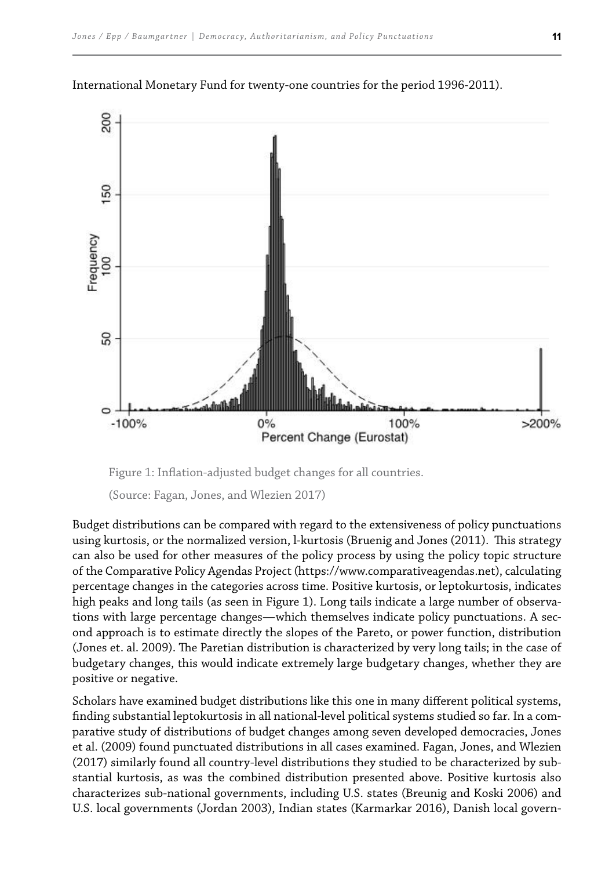

International Monetary Fund for twenty-one countries for the period 1996-2011).

Figure 1: Inflation-adjusted budget changes for all countries.

Budget distributions can be compared with regard to the extensiveness of policy punctuations using kurtosis, or the normalized version, l-kurtosis (Bruenig and Jones (2011). This strategy can also be used for other measures of the policy process by using the policy topic structure of the Comparative Policy Agendas Project (https://www.comparativeagendas.net), calculating percentage changes in the categories across time. Positive kurtosis, or leptokurtosis, indicates high peaks and long tails (as seen in Figure 1). Long tails indicate a large number of observations with large percentage changes—which themselves indicate policy punctuations. A second approach is to estimate directly the slopes of the Pareto, or power function, distribution (Jones et. al. 2009). The Paretian distribution is characterized by very long tails; in the case of budgetary changes, this would indicate extremely large budgetary changes, whether they are positive or negative.

Scholars have examined budget distributions like this one in many diferent political systems, finding substantial leptokurtosis in all national-level political systems studied so far. In a comparative study of distributions of budget changes among seven developed democracies, Jones et al. (2009) found punctuated distributions in all cases examined. Fagan, Jones, and Wlezien (2017) similarly found all country-level distributions they studied to be characterized by substantial kurtosis, as was the combined distribution presented above. Positive kurtosis also characterizes sub-national governments, including U.S. states (Breunig and Koski 2006) and U.S. local governments (Jordan 2003), Indian states (Karmarkar 2016), Danish local govern-

<sup>(</sup>Source: Fagan, Jones, and Wlezien 2017)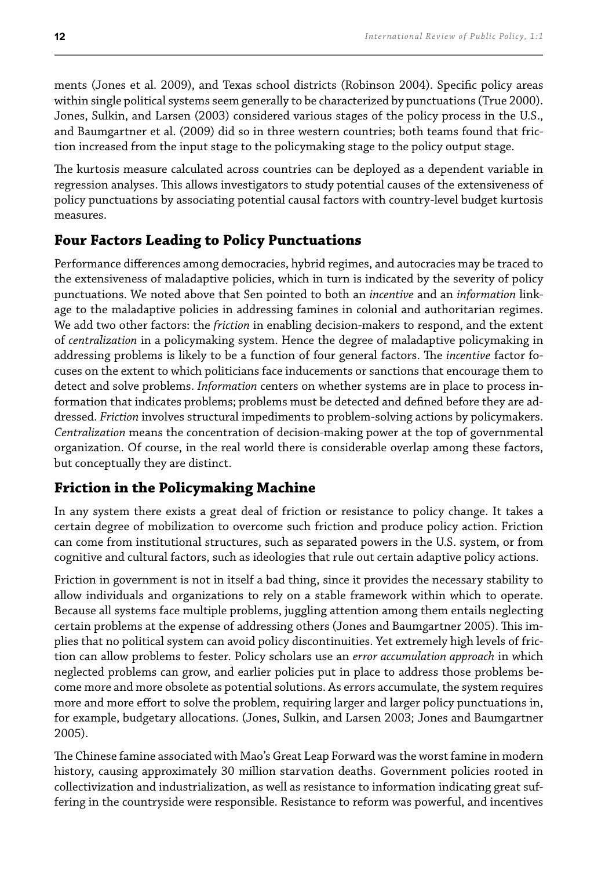ments (Jones et al. 2009), and Texas school districts (Robinson 2004). Speciic policy areas within single political systems seem generally to be characterized by punctuations (True 2000). Jones, Sulkin, and Larsen (2003) considered various stages of the policy process in the U.S., and Baumgartner et al. (2009) did so in three western countries; both teams found that friction increased from the input stage to the policymaking stage to the policy output stage.

he kurtosis measure calculated across countries can be deployed as a dependent variable in regression analyses. This allows investigators to study potential causes of the extensiveness of policy punctuations by associating potential causal factors with country-level budget kurtosis measures.

### **Four Factors Leading to Policy Punctuations**

Performance diferences among democracies, hybrid regimes, and autocracies may be traced to the extensiveness of maladaptive policies, which in turn is indicated by the severity of policy punctuations. We noted above that Sen pointed to both an *incentive* and an *information* linkage to the maladaptive policies in addressing famines in colonial and authoritarian regimes. We add two other factors: the *friction* in enabling decision-makers to respond, and the extent of *centralization* in a policymaking system. Hence the degree of maladaptive policymaking in addressing problems is likely to be a function of four general factors. The *incentive* factor focuses on the extent to which politicians face inducements or sanctions that encourage them to detect and solve problems. *Information* centers on whether systems are in place to process information that indicates problems; problems must be detected and defined before they are addressed. *Friction* involves structural impediments to problem-solving actions by policymakers. *Centralization* means the concentration of decision-making power at the top of governmental organization. Of course, in the real world there is considerable overlap among these factors, but conceptually they are distinct.

### **Friction in the Policymaking Machine**

In any system there exists a great deal of friction or resistance to policy change. It takes a certain degree of mobilization to overcome such friction and produce policy action. Friction can come from institutional structures, such as separated powers in the U.S. system, or from cognitive and cultural factors, such as ideologies that rule out certain adaptive policy actions.

Friction in government is not in itself a bad thing, since it provides the necessary stability to allow individuals and organizations to rely on a stable framework within which to operate. Because all systems face multiple problems, juggling attention among them entails neglecting certain problems at the expense of addressing others (Jones and Baumgartner 2005). his implies that no political system can avoid policy discontinuities. Yet extremely high levels of friction can allow problems to fester. Policy scholars use an *error accumulation approach* in which neglected problems can grow, and earlier policies put in place to address those problems become more and more obsolete as potential solutions. As errors accumulate, the system requires more and more efort to solve the problem, requiring larger and larger policy punctuations in, for example, budgetary allocations. (Jones, Sulkin, and Larsen 2003; Jones and Baumgartner 2005).

he Chinese famine associated with Mao's Great Leap Forward was the worst famine in modern history, causing approximately 30 million starvation deaths. Government policies rooted in collectivization and industrialization, as well as resistance to information indicating great suffering in the countryside were responsible. Resistance to reform was powerful, and incentives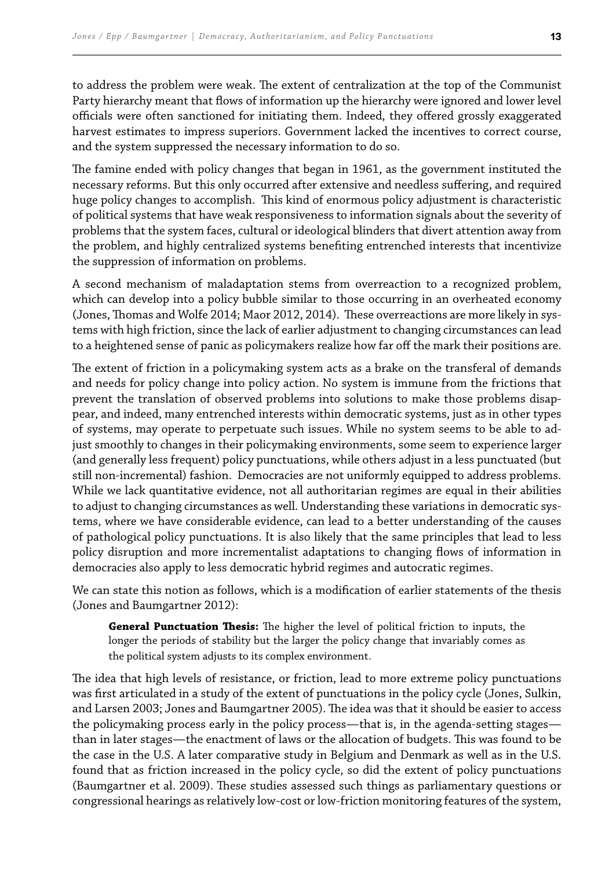to address the problem were weak. The extent of centralization at the top of the Communist Party hierarchy meant that lows of information up the hierarchy were ignored and lower level officials were often sanctioned for initiating them. Indeed, they offered grossly exaggerated harvest estimates to impress superiors. Government lacked the incentives to correct course, and the system suppressed the necessary information to do so.

The famine ended with policy changes that began in 1961, as the government instituted the necessary reforms. But this only occurred after extensive and needless sufering, and required huge policy changes to accomplish. This kind of enormous policy adjustment is characteristic of political systems that have weak responsiveness to information signals about the severity of problems that the system faces, cultural or ideological blinders that divert attention away from the problem, and highly centralized systems benefiting entrenched interests that incentivize the suppression of information on problems.

A second mechanism of maladaptation stems from overreaction to a recognized problem, which can develop into a policy bubble similar to those occurring in an overheated economy (Jones, Thomas and Wolfe 2014; Maor 2012, 2014). These overreactions are more likely in systems with high friction, since the lack of earlier adjustment to changing circumstances can lead to a heightened sense of panic as policymakers realize how far off the mark their positions are.

The extent of friction in a policymaking system acts as a brake on the transferal of demands and needs for policy change into policy action. No system is immune from the frictions that prevent the translation of observed problems into solutions to make those problems disappear, and indeed, many entrenched interests within democratic systems, just as in other types of systems, may operate to perpetuate such issues. While no system seems to be able to adjust smoothly to changes in their policymaking environments, some seem to experience larger (and generally less frequent) policy punctuations, while others adjust in a less punctuated (but still non-incremental) fashion. Democracies are not uniformly equipped to address problems. While we lack quantitative evidence, not all authoritarian regimes are equal in their abilities to adjust to changing circumstances as well. Understanding these variations in democratic systems, where we have considerable evidence, can lead to a better understanding of the causes of pathological policy punctuations. It is also likely that the same principles that lead to less policy disruption and more incrementalist adaptations to changing lows of information in democracies also apply to less democratic hybrid regimes and autocratic regimes.

We can state this notion as follows, which is a modification of earlier statements of the thesis (Jones and Baumgartner 2012):

**General Punctuation hesis:** he higher the level of political friction to inputs, the longer the periods of stability but the larger the policy change that invariably comes as the political system adjusts to its complex environment.

The idea that high levels of resistance, or friction, lead to more extreme policy punctuations was first articulated in a study of the extent of punctuations in the policy cycle (Jones, Sulkin, and Larsen 2003; Jones and Baumgartner 2005). he idea was that it should be easier to access the policymaking process early in the policy process—that is, in the agenda-setting stages than in later stages—the enactment of laws or the allocation of budgets. This was found to be the case in the U.S. A later comparative study in Belgium and Denmark as well as in the U.S. found that as friction increased in the policy cycle, so did the extent of policy punctuations (Baumgartner et al. 2009). hese studies assessed such things as parliamentary questions or congressional hearings as relatively low-cost or low-friction monitoring features of the system,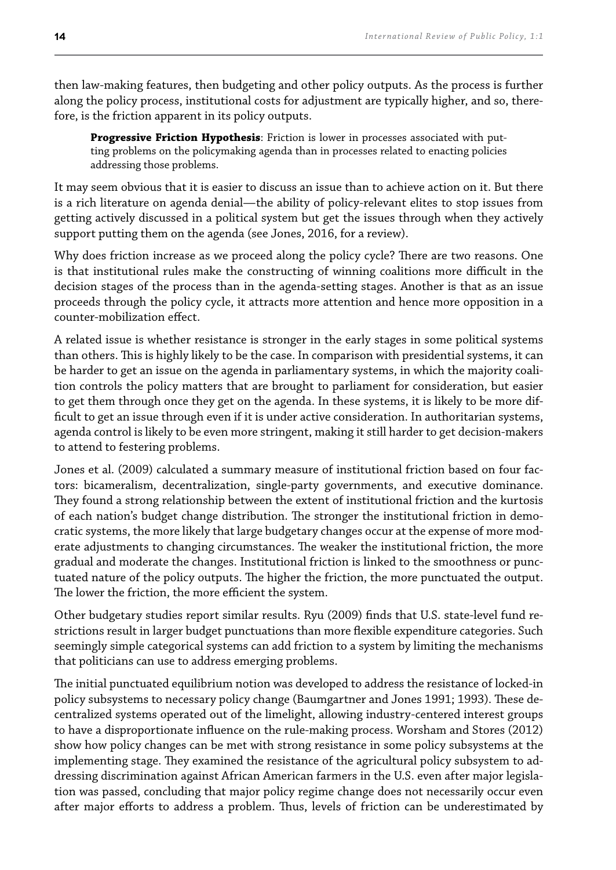then law-making features, then budgeting and other policy outputs. As the process is further along the policy process, institutional costs for adjustment are typically higher, and so, therefore, is the friction apparent in its policy outputs.

**Progressive Friction Hypothesis**: Friction is lower in processes associated with putting problems on the policymaking agenda than in processes related to enacting policies addressing those problems.

It may seem obvious that it is easier to discuss an issue than to achieve action on it. But there is a rich literature on agenda denial—the ability of policy-relevant elites to stop issues from getting actively discussed in a political system but get the issues through when they actively support putting them on the agenda (see Jones, 2016, for a review).

Why does friction increase as we proceed along the policy cycle? There are two reasons. One is that institutional rules make the constructing of winning coalitions more difficult in the decision stages of the process than in the agenda-setting stages. Another is that as an issue proceeds through the policy cycle, it attracts more attention and hence more opposition in a counter-mobilization efect.

A related issue is whether resistance is stronger in the early stages in some political systems than others. This is highly likely to be the case. In comparison with presidential systems, it can be harder to get an issue on the agenda in parliamentary systems, in which the majority coalition controls the policy matters that are brought to parliament for consideration, but easier to get them through once they get on the agenda. In these systems, it is likely to be more difficult to get an issue through even if it is under active consideration. In authoritarian systems, agenda control is likely to be even more stringent, making it still harder to get decision-makers to attend to festering problems.

Jones et al. (2009) calculated a summary measure of institutional friction based on four factors: bicameralism, decentralization, single-party governments, and executive dominance. They found a strong relationship between the extent of institutional friction and the kurtosis of each nation's budget change distribution. he stronger the institutional friction in democratic systems, the more likely that large budgetary changes occur at the expense of more moderate adjustments to changing circumstances. he weaker the institutional friction, the more gradual and moderate the changes. Institutional friction is linked to the smoothness or punctuated nature of the policy outputs. The higher the friction, the more punctuated the output. The lower the friction, the more efficient the system.

Other budgetary studies report similar results. Ryu (2009) finds that U.S. state-level fund restrictions result in larger budget punctuations than more flexible expenditure categories. Such seemingly simple categorical systems can add friction to a system by limiting the mechanisms that politicians can use to address emerging problems.

he initial punctuated equilibrium notion was developed to address the resistance of locked-in policy subsystems to necessary policy change (Baumgartner and Jones 1991; 1993). These decentralized systems operated out of the limelight, allowing industry-centered interest groups to have a disproportionate inluence on the rule-making process. Worsham and Stores (2012) show how policy changes can be met with strong resistance in some policy subsystems at the implementing stage. They examined the resistance of the agricultural policy subsystem to addressing discrimination against African American farmers in the U.S. even after major legislation was passed, concluding that major policy regime change does not necessarily occur even after major efforts to address a problem. Thus, levels of friction can be underestimated by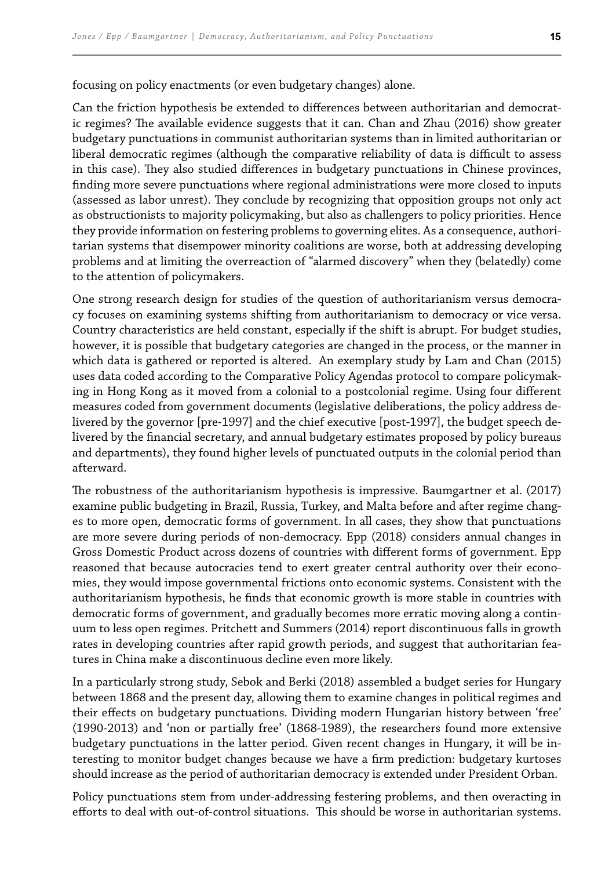focusing on policy enactments (or even budgetary changes) alone.

Can the friction hypothesis be extended to diferences between authoritarian and democratic regimes? he available evidence suggests that it can. Chan and Zhau (2016) show greater budgetary punctuations in communist authoritarian systems than in limited authoritarian or liberal democratic regimes (although the comparative reliability of data is difficult to assess in this case). They also studied differences in budgetary punctuations in Chinese provinces, finding more severe punctuations where regional administrations were more closed to inputs (assessed as labor unrest). hey conclude by recognizing that opposition groups not only act as obstructionists to majority policymaking, but also as challengers to policy priorities. Hence they provide information on festering problems to governing elites. As a consequence, authoritarian systems that disempower minority coalitions are worse, both at addressing developing problems and at limiting the overreaction of "alarmed discovery" when they (belatedly) come to the attention of policymakers.

One strong research design for studies of the question of authoritarianism versus democracy focuses on examining systems shifting from authoritarianism to democracy or vice versa. Country characteristics are held constant, especially if the shift is abrupt. For budget studies, however, it is possible that budgetary categories are changed in the process, or the manner in which data is gathered or reported is altered. An exemplary study by Lam and Chan (2015) uses data coded according to the Comparative Policy Agendas protocol to compare policymaking in Hong Kong as it moved from a colonial to a postcolonial regime. Using four diferent measures coded from government documents (legislative deliberations, the policy address delivered by the governor [pre-1997] and the chief executive [post-1997], the budget speech delivered by the inancial secretary, and annual budgetary estimates proposed by policy bureaus and departments), they found higher levels of punctuated outputs in the colonial period than afterward.

he robustness of the authoritarianism hypothesis is impressive. Baumgartner et al. (2017) examine public budgeting in Brazil, Russia, Turkey, and Malta before and after regime changes to more open, democratic forms of government. In all cases, they show that punctuations are more severe during periods of non-democracy. Epp (2018) considers annual changes in Gross Domestic Product across dozens of countries with diferent forms of government. Epp reasoned that because autocracies tend to exert greater central authority over their economies, they would impose governmental frictions onto economic systems. Consistent with the authoritarianism hypothesis, he finds that economic growth is more stable in countries with democratic forms of government, and gradually becomes more erratic moving along a continuum to less open regimes. Pritchett and Summers (2014) report discontinuous falls in growth rates in developing countries after rapid growth periods, and suggest that authoritarian features in China make a discontinuous decline even more likely.

In a particularly strong study, Sebok and Berki (2018) assembled a budget series for Hungary between 1868 and the present day, allowing them to examine changes in political regimes and their efects on budgetary punctuations. Dividing modern Hungarian history between 'free' (1990-2013) and 'non or partially free' (1868-1989), the researchers found more extensive budgetary punctuations in the latter period. Given recent changes in Hungary, it will be interesting to monitor budget changes because we have a firm prediction: budgetary kurtoses should increase as the period of authoritarian democracy is extended under President Orban.

Policy punctuations stem from under-addressing festering problems, and then overacting in efforts to deal with out-of-control situations. This should be worse in authoritarian systems.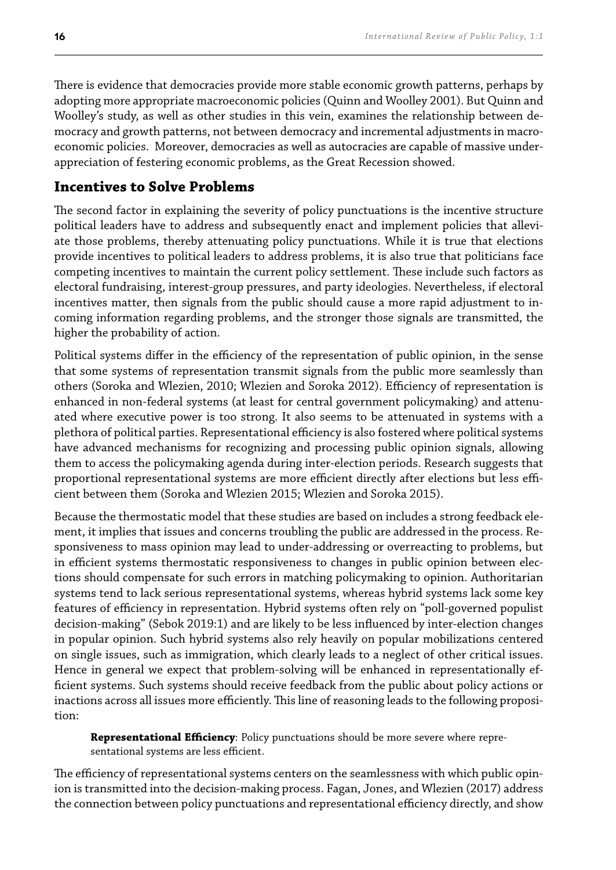here is evidence that democracies provide more stable economic growth patterns, perhaps by adopting more appropriate macroeconomic policies (Quinn and Woolley 2001). But Quinn and Woolley's study, as well as other studies in this vein, examines the relationship between democracy and growth patterns, not between democracy and incremental adjustments in macroeconomic policies. Moreover, democracies as well as autocracies are capable of massive underappreciation of festering economic problems, as the Great Recession showed.

#### **Incentives to Solve Problems**

The second factor in explaining the severity of policy punctuations is the incentive structure political leaders have to address and subsequently enact and implement policies that alleviate those problems, thereby attenuating policy punctuations. While it is true that elections provide incentives to political leaders to address problems, it is also true that politicians face competing incentives to maintain the current policy settlement. hese include such factors as electoral fundraising, interest-group pressures, and party ideologies. Nevertheless, if electoral incentives matter, then signals from the public should cause a more rapid adjustment to incoming information regarding problems, and the stronger those signals are transmitted, the higher the probability of action.

Political systems differ in the efficiency of the representation of public opinion, in the sense that some systems of representation transmit signals from the public more seamlessly than others (Soroka and Wlezien, 2010; Wlezien and Soroka 2012). Efficiency of representation is enhanced in non-federal systems (at least for central government policymaking) and attenuated where executive power is too strong. It also seems to be attenuated in systems with a plethora of political parties. Representational efficiency is also fostered where political systems have advanced mechanisms for recognizing and processing public opinion signals, allowing them to access the policymaking agenda during inter-election periods. Research suggests that proportional representational systems are more efficient directly after elections but less efficient between them (Soroka and Wlezien 2015; Wlezien and Soroka 2015).

Because the thermostatic model that these studies are based on includes a strong feedback element, it implies that issues and concerns troubling the public are addressed in the process. Responsiveness to mass opinion may lead to under-addressing or overreacting to problems, but in efficient systems thermostatic responsiveness to changes in public opinion between elections should compensate for such errors in matching policymaking to opinion. Authoritarian systems tend to lack serious representational systems, whereas hybrid systems lack some key features of efficiency in representation. Hybrid systems often rely on "poll-governed populist decision-making" (Sebok 2019:1) and are likely to be less influenced by inter-election changes in popular opinion. Such hybrid systems also rely heavily on popular mobilizations centered on single issues, such as immigration, which clearly leads to a neglect of other critical issues. Hence in general we expect that problem-solving will be enhanced in representationally efficient systems. Such systems should receive feedback from the public about policy actions or inactions across all issues more efficiently. This line of reasoning leads to the following proposition:

**Representational Efficiency**: Policy punctuations should be more severe where representational systems are less efficient.

The efficiency of representational systems centers on the seamlessness with which public opinion is transmitted into the decision-making process. Fagan, Jones, and Wlezien (2017) address the connection between policy punctuations and representational efficiency directly, and show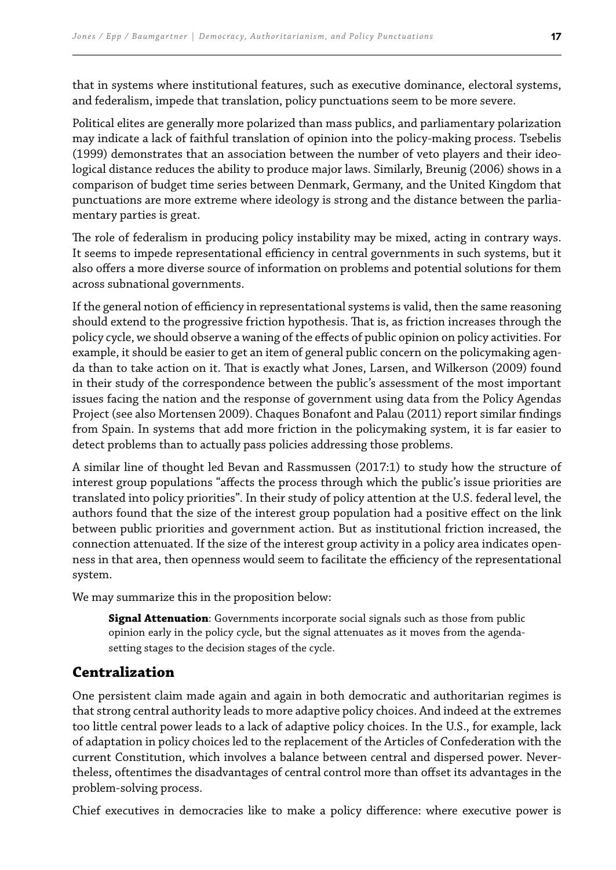that in systems where institutional features, such as executive dominance, electoral systems, and federalism, impede that translation, policy punctuations seem to be more severe.

Political elites are generally more polarized than mass publics, and parliamentary polarization may indicate a lack of faithful translation of opinion into the policy-making process. Tsebelis (1999) demonstrates that an association between the number of veto players and their ideological distance reduces the ability to produce major laws. Similarly, Breunig (2006) shows in a comparison of budget time series between Denmark, Germany, and the United Kingdom that punctuations are more extreme where ideology is strong and the distance between the parliamentary parties is great.

The role of federalism in producing policy instability may be mixed, acting in contrary ways. It seems to impede representational efficiency in central governments in such systems, but it also ofers a more diverse source of information on problems and potential solutions for them across subnational governments.

If the general notion of efficiency in representational systems is valid, then the same reasoning should extend to the progressive friction hypothesis. That is, as friction increases through the policy cycle, we should observe a waning of the efects of public opinion on policy activities. For example, it should be easier to get an item of general public concern on the policymaking agenda than to take action on it. That is exactly what Jones, Larsen, and Wilkerson (2009) found in their study of the correspondence between the public's assessment of the most important issues facing the nation and the response of government using data from the Policy Agendas Project (see also Mortensen 2009). Chaques Bonafont and Palau (2011) report similar findings from Spain. In systems that add more friction in the policymaking system, it is far easier to detect problems than to actually pass policies addressing those problems.

A similar line of thought led Bevan and Rassmussen (2017:1) to study how the structure of interest group populations "afects the process through which the public's issue priorities are translated into policy priorities". In their study of policy attention at the U.S. federal level, the authors found that the size of the interest group population had a positive efect on the link between public priorities and government action. But as institutional friction increased, the connection attenuated. If the size of the interest group activity in a policy area indicates openness in that area, then openness would seem to facilitate the efficiency of the representational system.

We may summarize this in the proposition below:

**Signal Attenuation**: Governments incorporate social signals such as those from public opinion early in the policy cycle, but the signal attenuates as it moves from the agendasetting stages to the decision stages of the cycle.

### **Centralization**

One persistent claim made again and again in both democratic and authoritarian regimes is that strong central authority leads to more adaptive policy choices. And indeed at the extremes too little central power leads to a lack of adaptive policy choices. In the U.S., for example, lack of adaptation in policy choices led to the replacement of the Articles of Confederation with the current Constitution, which involves a balance between central and dispersed power. Nevertheless, oftentimes the disadvantages of central control more than ofset its advantages in the problem-solving process.

Chief executives in democracies like to make a policy diference: where executive power is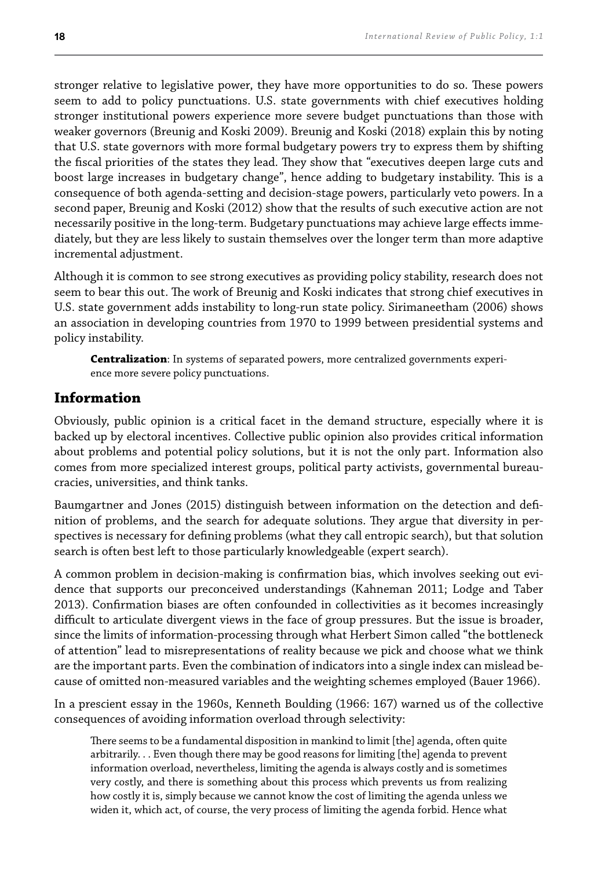stronger relative to legislative power, they have more opportunities to do so. These powers seem to add to policy punctuations. U.S. state governments with chief executives holding stronger institutional powers experience more severe budget punctuations than those with weaker governors (Breunig and Koski 2009). Breunig and Koski (2018) explain this by noting that U.S. state governors with more formal budgetary powers try to express them by shifting the fiscal priorities of the states they lead. They show that "executives deepen large cuts and boost large increases in budgetary change", hence adding to budgetary instability. his is a consequence of both agenda-setting and decision-stage powers, particularly veto powers. In a second paper, Breunig and Koski (2012) show that the results of such executive action are not necessarily positive in the long-term. Budgetary punctuations may achieve large efects immediately, but they are less likely to sustain themselves over the longer term than more adaptive incremental adjustment.

Although it is common to see strong executives as providing policy stability, research does not seem to bear this out. The work of Breunig and Koski indicates that strong chief executives in U.S. state government adds instability to long-run state policy. Sirimaneetham (2006) shows an association in developing countries from 1970 to 1999 between presidential systems and policy instability.

**Centralization**: In systems of separated powers, more centralized governments experience more severe policy punctuations.

#### **Information**

Obviously, public opinion is a critical facet in the demand structure, especially where it is backed up by electoral incentives. Collective public opinion also provides critical information about problems and potential policy solutions, but it is not the only part. Information also comes from more specialized interest groups, political party activists, governmental bureaucracies, universities, and think tanks.

Baumgartner and Jones (2015) distinguish between information on the detection and deinition of problems, and the search for adequate solutions. hey argue that diversity in perspectives is necessary for deining problems (what they call entropic search), but that solution search is often best left to those particularly knowledgeable (expert search).

A common problem in decision-making is conirmation bias, which involves seeking out evidence that supports our preconceived understandings (Kahneman 2011; Lodge and Taber 2013). Confirmation biases are often confounded in collectivities as it becomes increasingly difficult to articulate divergent views in the face of group pressures. But the issue is broader, since the limits of information-processing through what Herbert Simon called "the bottleneck of attention" lead to misrepresentations of reality because we pick and choose what we think are the important parts. Even the combination of indicators into a single index can mislead because of omitted non-measured variables and the weighting schemes employed (Bauer 1966).

In a prescient essay in the 1960s, Kenneth Boulding (1966: 167) warned us of the collective consequences of avoiding information overload through selectivity:

here seems to be a fundamental disposition in mankind to limit [the] agenda, often quite arbitrarily. . . Even though there may be good reasons for limiting [the] agenda to prevent information overload, nevertheless, limiting the agenda is always costly and is sometimes very costly, and there is something about this process which prevents us from realizing how costly it is, simply because we cannot know the cost of limiting the agenda unless we widen it, which act, of course, the very process of limiting the agenda forbid. Hence what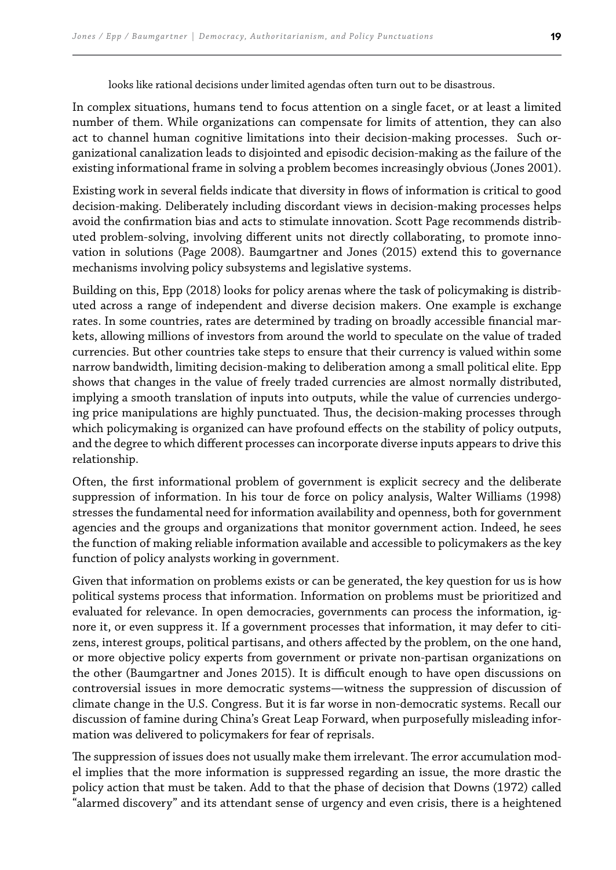looks like rational decisions under limited agendas often turn out to be disastrous.

In complex situations, humans tend to focus attention on a single facet, or at least a limited number of them. While organizations can compensate for limits of attention, they can also act to channel human cognitive limitations into their decision-making processes. Such organizational canalization leads to disjointed and episodic decision-making as the failure of the existing informational frame in solving a problem becomes increasingly obvious (Jones 2001).

Existing work in several ields indicate that diversity in lows of information is critical to good decision-making. Deliberately including discordant views in decision-making processes helps avoid the confirmation bias and acts to stimulate innovation. Scott Page recommends distributed problem-solving, involving diferent units not directly collaborating, to promote innovation in solutions (Page 2008). Baumgartner and Jones (2015) extend this to governance mechanisms involving policy subsystems and legislative systems.

Building on this, Epp (2018) looks for policy arenas where the task of policymaking is distributed across a range of independent and diverse decision makers. One example is exchange rates. In some countries, rates are determined by trading on broadly accessible financial markets, allowing millions of investors from around the world to speculate on the value of traded currencies. But other countries take steps to ensure that their currency is valued within some narrow bandwidth, limiting decision-making to deliberation among a small political elite. Epp shows that changes in the value of freely traded currencies are almost normally distributed, implying a smooth translation of inputs into outputs, while the value of currencies undergoing price manipulations are highly punctuated. Thus, the decision-making processes through which policymaking is organized can have profound efects on the stability of policy outputs, and the degree to which diferent processes can incorporate diverse inputs appears to drive this relationship.

Often, the irst informational problem of government is explicit secrecy and the deliberate suppression of information. In his tour de force on policy analysis, Walter Williams (1998) stresses the fundamental need for information availability and openness, both for government agencies and the groups and organizations that monitor government action. Indeed, he sees the function of making reliable information available and accessible to policymakers as the key function of policy analysts working in government.

Given that information on problems exists or can be generated, the key question for us is how political systems process that information. Information on problems must be prioritized and evaluated for relevance. In open democracies, governments can process the information, ignore it, or even suppress it. If a government processes that information, it may defer to citizens, interest groups, political partisans, and others afected by the problem, on the one hand, or more objective policy experts from government or private non-partisan organizations on the other (Baumgartner and Jones 2015). It is difficult enough to have open discussions on controversial issues in more democratic systems—witness the suppression of discussion of climate change in the U.S. Congress. But it is far worse in non-democratic systems. Recall our discussion of famine during China's Great Leap Forward, when purposefully misleading information was delivered to policymakers for fear of reprisals.

The suppression of issues does not usually make them irrelevant. The error accumulation model implies that the more information is suppressed regarding an issue, the more drastic the policy action that must be taken. Add to that the phase of decision that Downs (1972) called "alarmed discovery" and its attendant sense of urgency and even crisis, there is a heightened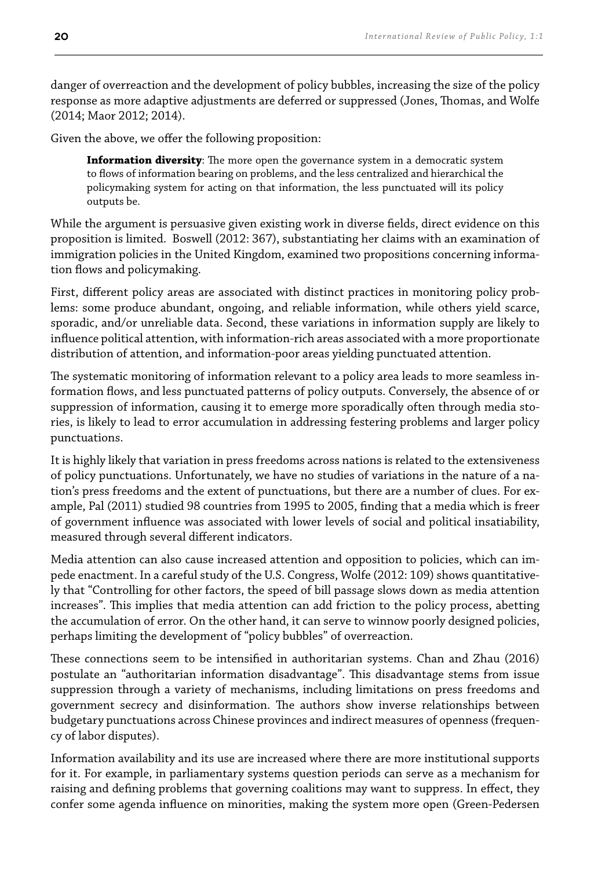danger of overreaction and the development of policy bubbles, increasing the size of the policy response as more adaptive adjustments are deferred or suppressed (Jones, Thomas, and Wolfe (2014; Maor 2012; 2014).

Given the above, we offer the following proposition:

**Information diversity**: The more open the governance system in a democratic system to lows of information bearing on problems, and the less centralized and hierarchical the policymaking system for acting on that information, the less punctuated will its policy outputs be.

While the argument is persuasive given existing work in diverse fields, direct evidence on this proposition is limited. Boswell (2012: 367), substantiating her claims with an examination of immigration policies in the United Kingdom, examined two propositions concerning information flows and policymaking.

First, diferent policy areas are associated with distinct practices in monitoring policy problems: some produce abundant, ongoing, and reliable information, while others yield scarce, sporadic, and/or unreliable data. Second, these variations in information supply are likely to inluence political attention, with information-rich areas associated with a more proportionate distribution of attention, and information-poor areas yielding punctuated attention.

The systematic monitoring of information relevant to a policy area leads to more seamless information lows, and less punctuated patterns of policy outputs. Conversely, the absence of or suppression of information, causing it to emerge more sporadically often through media stories, is likely to lead to error accumulation in addressing festering problems and larger policy punctuations.

It is highly likely that variation in press freedoms across nations is related to the extensiveness of policy punctuations. Unfortunately, we have no studies of variations in the nature of a nation's press freedoms and the extent of punctuations, but there are a number of clues. For example, Pal (2011) studied 98 countries from 1995 to 2005, inding that a media which is freer of government inluence was associated with lower levels of social and political insatiability, measured through several diferent indicators.

Media attention can also cause increased attention and opposition to policies, which can impede enactment. In a careful study of the U.S. Congress, Wolfe (2012: 109) shows quantitatively that "Controlling for other factors, the speed of bill passage slows down as media attention increases". his implies that media attention can add friction to the policy process, abetting the accumulation of error. On the other hand, it can serve to winnow poorly designed policies, perhaps limiting the development of "policy bubbles" of overreaction.

hese connections seem to be intensiied in authoritarian systems. Chan and Zhau (2016) postulate an "authoritarian information disadvantage". his disadvantage stems from issue suppression through a variety of mechanisms, including limitations on press freedoms and government secrecy and disinformation. he authors show inverse relationships between budgetary punctuations across Chinese provinces and indirect measures of openness (frequency of labor disputes).

Information availability and its use are increased where there are more institutional supports for it. For example, in parliamentary systems question periods can serve as a mechanism for raising and defining problems that governing coalitions may want to suppress. In effect, they confer some agenda inluence on minorities, making the system more open (Green-Pedersen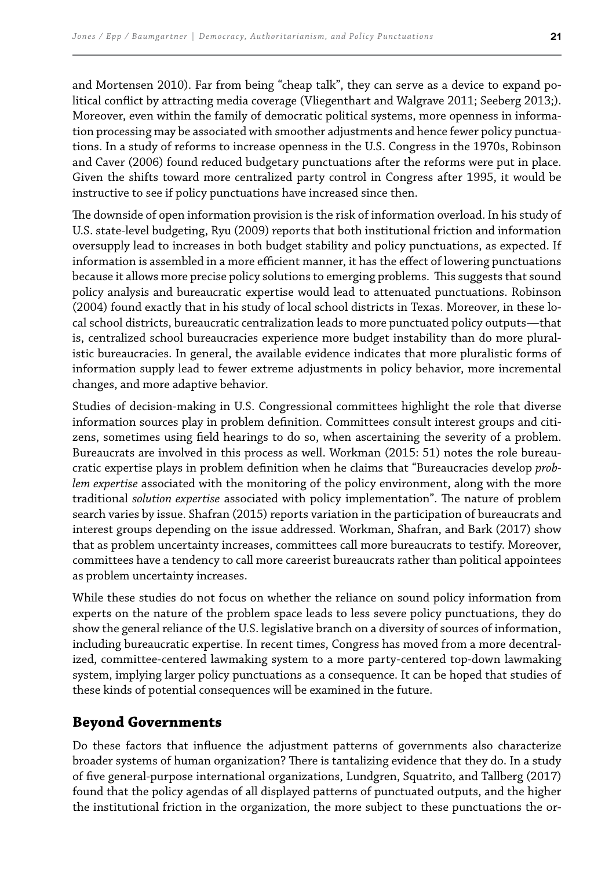and Mortensen 2010). Far from being "cheap talk", they can serve as a device to expand political conlict by attracting media coverage (Vliegenthart and Walgrave 2011; Seeberg 2013;). Moreover, even within the family of democratic political systems, more openness in information processing may be associated with smoother adjustments and hence fewer policy punctuations. In a study of reforms to increase openness in the U.S. Congress in the 1970s, Robinson and Caver (2006) found reduced budgetary punctuations after the reforms were put in place. Given the shifts toward more centralized party control in Congress after 1995, it would be instructive to see if policy punctuations have increased since then.

The downside of open information provision is the risk of information overload. In his study of U.S. state-level budgeting, Ryu (2009) reports that both institutional friction and information oversupply lead to increases in both budget stability and policy punctuations, as expected. If information is assembled in a more efficient manner, it has the effect of lowering punctuations because it allows more precise policy solutions to emerging problems. This suggests that sound policy analysis and bureaucratic expertise would lead to attenuated punctuations. Robinson (2004) found exactly that in his study of local school districts in Texas. Moreover, in these local school districts, bureaucratic centralization leads to more punctuated policy outputs—that is, centralized school bureaucracies experience more budget instability than do more pluralistic bureaucracies. In general, the available evidence indicates that more pluralistic forms of information supply lead to fewer extreme adjustments in policy behavior, more incremental changes, and more adaptive behavior.

Studies of decision-making in U.S. Congressional committees highlight the role that diverse information sources play in problem definition. Committees consult interest groups and citizens, sometimes using field hearings to do so, when ascertaining the severity of a problem. Bureaucrats are involved in this process as well. Workman (2015: 51) notes the role bureaucratic expertise plays in problem deinition when he claims that "Bureaucracies develop *problem expertise* associated with the monitoring of the policy environment, along with the more traditional *solution expertise* associated with policy implementation". The nature of problem search varies by issue. Shafran (2015) reports variation in the participation of bureaucrats and interest groups depending on the issue addressed. Workman, Shafran, and Bark (2017) show that as problem uncertainty increases, committees call more bureaucrats to testify. Moreover, committees have a tendency to call more careerist bureaucrats rather than political appointees as problem uncertainty increases.

While these studies do not focus on whether the reliance on sound policy information from experts on the nature of the problem space leads to less severe policy punctuations, they do show the general reliance of the U.S. legislative branch on a diversity of sources of information, including bureaucratic expertise. In recent times, Congress has moved from a more decentralized, committee-centered lawmaking system to a more party-centered top-down lawmaking system, implying larger policy punctuations as a consequence. It can be hoped that studies of these kinds of potential consequences will be examined in the future.

### **Beyond Governments**

Do these factors that inluence the adjustment patterns of governments also characterize broader systems of human organization? There is tantalizing evidence that they do. In a study of ive general-purpose international organizations, Lundgren, Squatrito, and Tallberg (2017) found that the policy agendas of all displayed patterns of punctuated outputs, and the higher the institutional friction in the organization, the more subject to these punctuations the or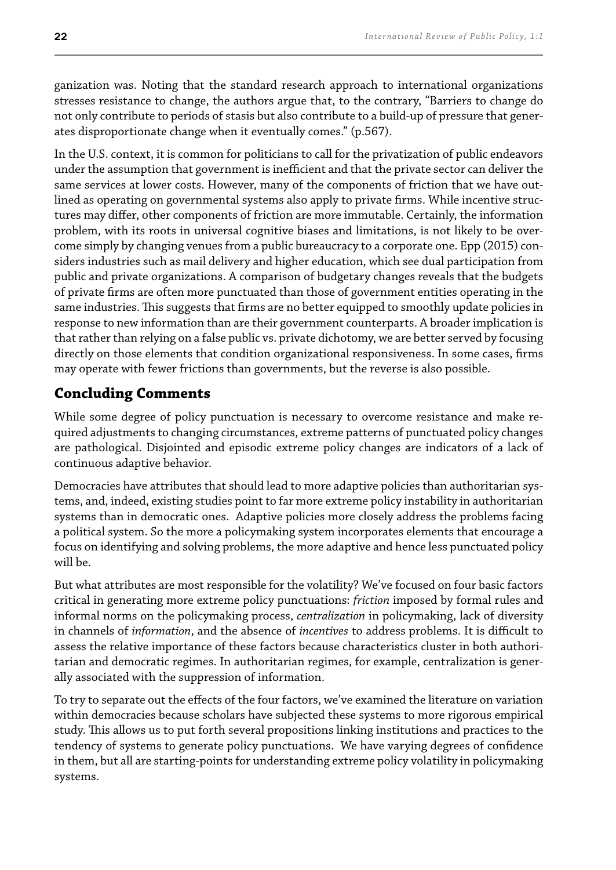ganization was. Noting that the standard research approach to international organizations stresses resistance to change, the authors argue that, to the contrary, "Barriers to change do not only contribute to periods of stasis but also contribute to a build-up of pressure that generates disproportionate change when it eventually comes." (p.567).

In the U.S. context, it is common for politicians to call for the privatization of public endeavors under the assumption that government is inefficient and that the private sector can deliver the same services at lower costs. However, many of the components of friction that we have outlined as operating on governmental systems also apply to private firms. While incentive structures may difer, other components of friction are more immutable. Certainly, the information problem, with its roots in universal cognitive biases and limitations, is not likely to be overcome simply by changing venues from a public bureaucracy to a corporate one. Epp (2015) considers industries such as mail delivery and higher education, which see dual participation from public and private organizations. A comparison of budgetary changes reveals that the budgets of private irms are often more punctuated than those of government entities operating in the same industries. This suggests that firms are no better equipped to smoothly update policies in response to new information than are their government counterparts. A broader implication is that rather than relying on a false public vs. private dichotomy, we are better served by focusing directly on those elements that condition organizational responsiveness. In some cases, firms may operate with fewer frictions than governments, but the reverse is also possible.

### **Concluding Comments**

While some degree of policy punctuation is necessary to overcome resistance and make required adjustments to changing circumstances, extreme patterns of punctuated policy changes are pathological. Disjointed and episodic extreme policy changes are indicators of a lack of continuous adaptive behavior.

Democracies have attributes that should lead to more adaptive policies than authoritarian systems, and, indeed, existing studies point to far more extreme policy instability in authoritarian systems than in democratic ones. Adaptive policies more closely address the problems facing a political system. So the more a policymaking system incorporates elements that encourage a focus on identifying and solving problems, the more adaptive and hence less punctuated policy will be.

But what attributes are most responsible for the volatility? We've focused on four basic factors critical in generating more extreme policy punctuations: *friction* imposed by formal rules and informal norms on the policymaking process, *centralization* in policymaking, lack of diversity in channels of *information*, and the absence of *incentives* to address problems. It is difficult to assess the relative importance of these factors because characteristics cluster in both authoritarian and democratic regimes. In authoritarian regimes, for example, centralization is generally associated with the suppression of information.

To try to separate out the efects of the four factors, we've examined the literature on variation within democracies because scholars have subjected these systems to more rigorous empirical study. his allows us to put forth several propositions linking institutions and practices to the tendency of systems to generate policy punctuations. We have varying degrees of conidence in them, but all are starting-points for understanding extreme policy volatility in policymaking systems.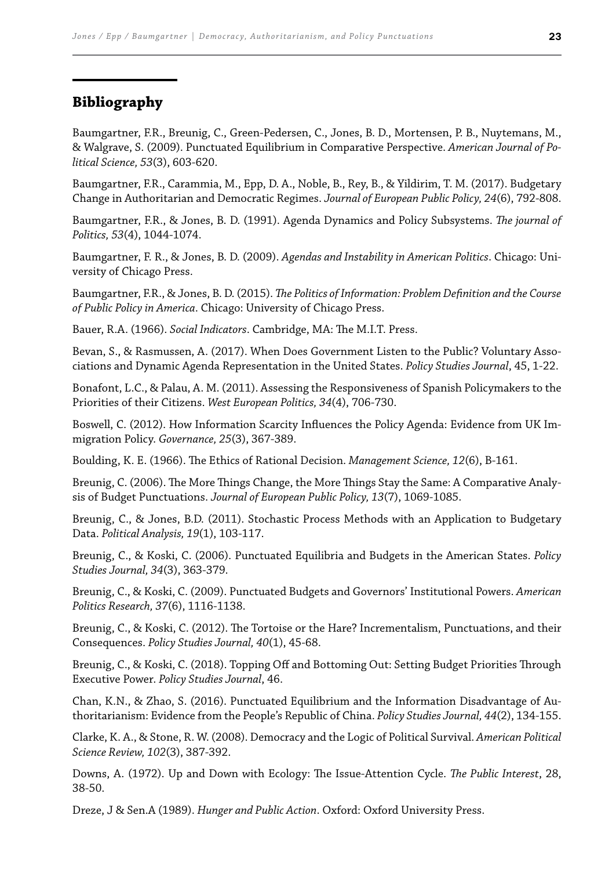#### **Bibliography**

Baumgartner, F.R., Breunig, C., Green‐Pedersen, C., Jones, B. D., Mortensen, P. B., Nuytemans, M., & Walgrave, S. (2009). Punctuated Equilibrium in Comparative Perspective. *American Journal of Political Science, 53*(3), 603-620.

Baumgartner, F.R., Carammia, M., Epp, D. A., Noble, B., Rey, B., & Yildirim, T. M. (2017). Budgetary Change in Authoritarian and Democratic Regimes. *Journal of European Public Policy, 24*(6), 792-808.

Baumgartner, F.R., & Jones, B. D. (1991). Agenda Dynamics and Policy Subsystems. *he journal of Politics, 53*(4), 1044-1074.

Baumgartner, F. R., & Jones, B. D. (2009). *Agendas and Instability in American Politics*. Chicago: University of Chicago Press.

Baumgartner, F.R., & Jones, B. D. (2015). *he Politics of Information: Problem Deinition and the Course of Public Policy in America*. Chicago: University of Chicago Press.

Bauer, R.A. (1966). *Social Indicators*. Cambridge, MA: The M.I.T. Press.

Bevan, S., & Rasmussen, A. (2017). When Does Government Listen to the Public? Voluntary Associations and Dynamic Agenda Representation in the United States. *Policy Studies Journal*, 45, 1-22.

Bonafont, L.C., & Palau, A. M. (2011). Assessing the Responsiveness of Spanish Policymakers to the Priorities of their Citizens. *West European Politics, 34*(4), 706-730.

Boswell, C. (2012). How Information Scarcity Inluences the Policy Agenda: Evidence from UK Immigration Policy. *Governance, 25*(3), 367-389.

Boulding, K. E. (1966). he Ethics of Rational Decision. *Management Science, 12*(6), B-161.

Breunig, C. (2006). The More Things Change, the More Things Stay the Same: A Comparative Analysis of Budget Punctuations. *Journal of European Public Policy, 13*(7), 1069-1085.

Breunig, C., & Jones, B.D. (2011). Stochastic Process Methods with an Application to Budgetary Data. *Political Analysis, 19*(1), 103-117.

Breunig, C., & Koski, C. (2006). Punctuated Equilibria and Budgets in the American States. *Policy Studies Journal, 34*(3), 363-379.

Breunig, C., & Koski, C. (2009). Punctuated Budgets and Governors' Institutional Powers. *American Politics Research, 37*(6), 1116-1138.

Breunig, C., & Koski, C. (2012). he Tortoise or the Hare? Incrementalism, Punctuations, and their Consequences. *Policy Studies Journal, 40*(1), 45-68.

Breunig, C., & Koski, C. (2018). Topping Off and Bottoming Out: Setting Budget Priorities Through Executive Power. *Policy Studies Journal*, 46.

Chan, K.N., & Zhao, S. (2016). Punctuated Equilibrium and the Information Disadvantage of Authoritarianism: Evidence from the People's Republic of China. *Policy Studies Journal, 44*(2), 134-155.

Clarke, K. A., & Stone, R. W. (2008). Democracy and the Logic of Political Survival. *American Political Science Review, 102*(3), 387-392.

Downs, A. (1972). Up and Down with Ecology: he Issue-Attention Cycle. *he Public Interest*, 28, 38-50.

Dreze, J & Sen.A (1989). *Hunger and Public Action*. Oxford: Oxford University Press.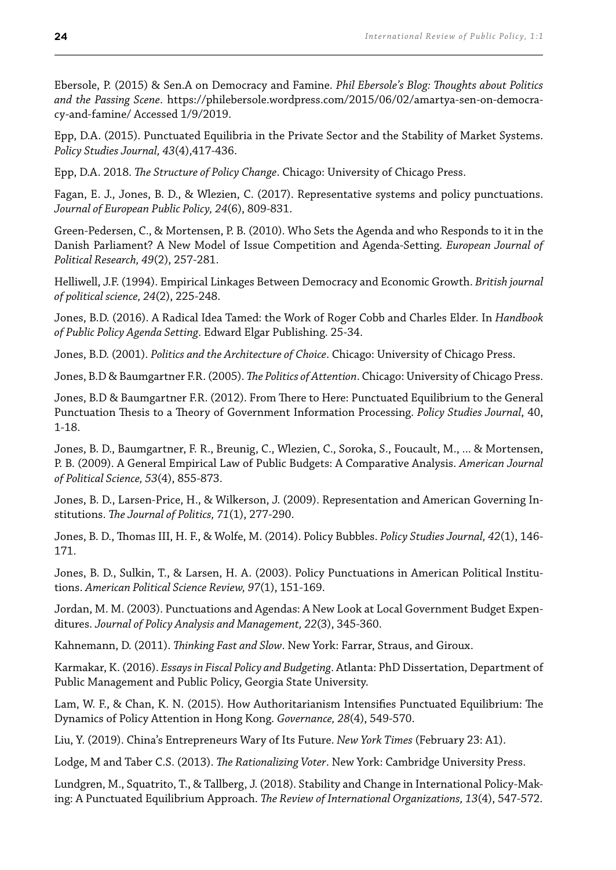Ebersole, P. (2015) & Sen.A on Democracy and Famine. *Phil Ebersole's Blog: houghts about Politics and the Passing Scene*. https://philebersole.wordpress.com/2015/06/02/amartya-sen-on-democracy-and-famine/ Accessed 1/9/2019.

Epp, D.A. (2015). Punctuated Equilibria in the Private Sector and the Stability of Market Systems. *Policy Studies Journal, 43*(4),417-436.

Epp, D.A. 2018. *he Structure of Policy Change*. Chicago: University of Chicago Press.

Fagan, E. J., Jones, B. D., & Wlezien, C. (2017). Representative systems and policy punctuations. *Journal of European Public Policy, 24*(6), 809-831.

Green‐Pedersen, C., & Mortensen, P. B. (2010). Who Sets the Agenda and who Responds to it in the Danish Parliament? A New Model of Issue Competition and Agenda‐Setting. *European Journal of Political Research, 49*(2), 257-281.

Helliwell, J.F. (1994). Empirical Linkages Between Democracy and Economic Growth. *British journal of political science, 24*(2), 225-248.

Jones, B.D. (2016). A Radical Idea Tamed: the Work of Roger Cobb and Charles Elder. In *Handbook of Public Policy Agenda Setting*. Edward Elgar Publishing. 25-34.

Jones, B.D. (2001). *Politics and the Architecture of Choice*. Chicago: University of Chicago Press.

Jones, B.D & Baumgartner F.R. (2005). *he Politics of Attention*. Chicago: University of Chicago Press.

Jones, B.D & Baumgartner F.R. (2012). From here to Here: Punctuated Equilibrium to the General Punctuation hesis to a heory of Government Information Processing. *Policy Studies Journal*, 40, 1-18.

Jones, B. D., Baumgartner, F. R., Breunig, C., Wlezien, C., Soroka, S., Foucault, M., ... & Mortensen, P. B. (2009). A General Empirical Law of Public Budgets: A Comparative Analysis. *American Journal of Political Science, 53*(4), 855-873.

Jones, B. D., Larsen-Price, H., & Wilkerson, J. (2009). Representation and American Governing Institutions. *he Journal of Politics, 71*(1), 277-290.

Jones, B. D., homas III, H. F., & Wolfe, M. (2014). Policy Bubbles. *Policy Studies Journal, 42*(1), 146- 171.

Jones, B. D., Sulkin, T., & Larsen, H. A. (2003). Policy Punctuations in American Political Institutions. *American Political Science Review, 97*(1), 151-169.

Jordan, M. M. (2003). Punctuations and Agendas: A New Look at Local Government Budget Expenditures. *Journal of Policy Analysis and Management, 22*(3), 345-360.

Kahnemann, D. (2011). *hinking Fast and Slow*. New York: Farrar, Straus, and Giroux.

Karmakar, K. (2016). *Essays in Fiscal Policy and Budgeting*. Atlanta: PhD Dissertation, Department of Public Management and Public Policy, Georgia State University.

Lam, W. F., & Chan, K. N. (2015). How Authoritarianism Intensifies Punctuated Equilibrium: The Dynamics of Policy Attention in Hong Kong. *Governance, 28*(4), 549-570.

Liu, Y. (2019). China's Entrepreneurs Wary of Its Future. *New York Times* (February 23: A1).

Lodge, M and Taber C.S. (2013). *he Rationalizing Voter*. New York: Cambridge University Press.

Lundgren, M., Squatrito, T., & Tallberg, J. (2018). Stability and Change in International Policy-Making: A Punctuated Equilibrium Approach. *he Review of International Organizations, 13*(4), 547-572.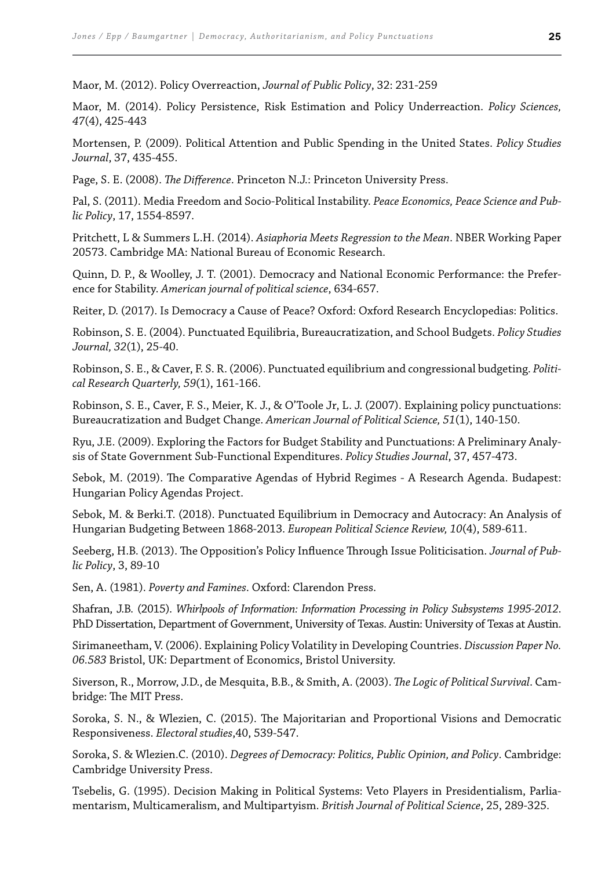Maor, M. (2012). Policy Overreaction, *Journal of Public Policy*, 32: 231-259

Maor, M. (2014). Policy Persistence, Risk Estimation and Policy Underreaction. *Policy Sciences, 47*(4), 425-443

Mortensen, P. (2009). Political Attention and Public Spending in the United States. *Policy Studies Journal*, 37, 435-455.

Page, S. E. (2008). *he Diference*. Princeton N.J.: Princeton University Press.

Pal, S. (2011). Media Freedom and Socio-Political Instability. *Peace Economics, Peace Science and Public Policy*, 17, 1554-8597.

Pritchett, L & Summers L.H. (2014). *Asiaphoria Meets Regression to the Mean*. NBER Working Paper 20573. Cambridge MA: National Bureau of Economic Research.

Quinn, D. P., & Woolley, J. T. (2001). Democracy and National Economic Performance: the Preference for Stability. *American journal of political science*, 634-657.

Reiter, D. (2017). Is Democracy a Cause of Peace? Oxford: Oxford Research Encyclopedias: Politics.

Robinson, S. E. (2004). Punctuated Equilibria, Bureaucratization, and School Budgets. *Policy Studies Journal, 32*(1), 25-40.

Robinson, S. E., & Caver, F. S. R. (2006). Punctuated equilibrium and congressional budgeting. *Political Research Quarterly, 59*(1), 161-166.

Robinson, S. E., Caver, F. S., Meier, K. J., & O'Toole Jr, L. J. (2007). Explaining policy punctuations: Bureaucratization and Budget Change. *American Journal of Political Science, 51*(1), 140-150.

Ryu, J.E. (2009). Exploring the Factors for Budget Stability and Punctuations: A Preliminary Analysis of State Government Sub-Functional Expenditures. *Policy Studies Journal*, 37, 457-473.

Sebok, M. (2019). he Comparative Agendas of Hybrid Regimes - A Research Agenda. Budapest: Hungarian Policy Agendas Project.

Sebok, M. & Berki.T. (2018). Punctuated Equilibrium in Democracy and Autocracy: An Analysis of Hungarian Budgeting Between 1868-2013. *European Political Science Review, 10*(4), 589-611.

Seeberg, H.B. (2013). The Opposition's Policy Influence Through Issue Politicisation. *Journal of Public Policy*, 3, 89-10

Sen, A. (1981). *Poverty and Famines*. Oxford: Clarendon Press.

Shafran, J.B. (2015). *Whirlpools of Information: Information Processing in Policy Subsystems 1995-2012*. PhD Dissertation, Department of Government, University of Texas. Austin: University of Texas at Austin.

Sirimaneetham, V. (2006). Explaining Policy Volatility in Developing Countries. *Discussion Paper No. 06.583* Bristol, UK: Department of Economics, Bristol University.

Siverson, R., Morrow, J.D., de Mesquita, B.B., & Smith, A. (2003). *he Logic of Political Survival*. Cambridge: The MIT Press.

Soroka, S. N., & Wlezien, C. (2015). The Majoritarian and Proportional Visions and Democratic Responsiveness. *Electoral studies*,40, 539-547.

Soroka, S. & Wlezien.C. (2010). *Degrees of Democracy: Politics, Public Opinion, and Policy*. Cambridge: Cambridge University Press.

Tsebelis, G. (1995). Decision Making in Political Systems: Veto Players in Presidentialism, Parliamentarism, Multicameralism, and Multipartyism. *British Journal of Political Science*, 25, 289-325.